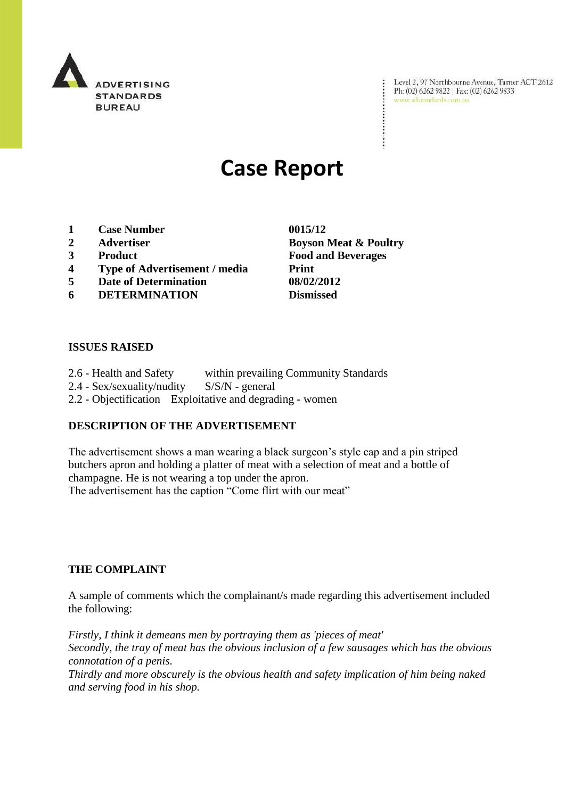

Level 2, 97 Northbourne Avenue, Turner ACT 2612<br>Ph: (02) 6262 9822 | Fax: (02) 6262 9833<br>www.adstandards.com.au

÷

# **Case Report**

- **1 Case Number 0015/12**
- **2 Advertiser Boyson Meat & Poultry**
- **3 Product Food and Beverages**
- **4 Type of Advertisement / media Print**
- **5 Date of Determination 08/02/2012**
- **6 DETERMINATION Dismissed**

**ISSUES RAISED**

2.6 - Health and Safety within prevailing Community Standards 2.4 - Sex/sexuality/nudity S/S/N - general 2.2 - Objectification Exploitative and degrading - women

### **DESCRIPTION OF THE ADVERTISEMENT**

The advertisement shows a man wearing a black surgeon's style cap and a pin striped butchers apron and holding a platter of meat with a selection of meat and a bottle of champagne. He is not wearing a top under the apron.

The advertisement has the caption "Come flirt with our meat"

#### **THE COMPLAINT**

A sample of comments which the complainant/s made regarding this advertisement included the following:

*Firstly, I think it demeans men by portraying them as 'pieces of meat' Secondly, the tray of meat has the obvious inclusion of a few sausages which has the obvious connotation of a penis. Thirdly and more obscurely is the obvious health and safety implication of him being naked* 

*and serving food in his shop.*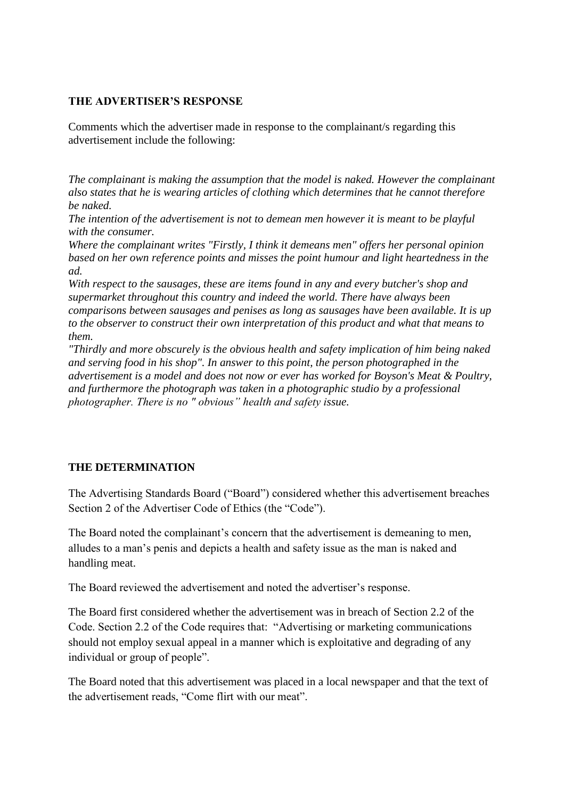#### **THE ADVERTISER'S RESPONSE**

Comments which the advertiser made in response to the complainant/s regarding this advertisement include the following:

*The complainant is making the assumption that the model is naked. However the complainant also states that he is wearing articles of clothing which determines that he cannot therefore be naked.* 

*The intention of the advertisement is not to demean men however it is meant to be playful with the consumer.* 

*Where the complainant writes "Firstly, I think it demeans men" offers her personal opinion based on her own reference points and misses the point humour and light heartedness in the ad.* 

*With respect to the sausages, these are items found in any and every butcher's shop and supermarket throughout this country and indeed the world. There have always been comparisons between sausages and penises as long as sausages have been available. It is up to the observer to construct their own interpretation of this product and what that means to them.*

*"Thirdly and more obscurely is the obvious health and safety implication of him being naked and serving food in his shop". In answer to this point, the person photographed in the advertisement is a model and does not now or ever has worked for Boyson's Meat & Poultry, and furthermore the photograph was taken in a photographic studio by a professional photographer. There is no " obvious" health and safety issue.*

## **THE DETERMINATION**

The Advertising Standards Board ("Board") considered whether this advertisement breaches Section 2 of the Advertiser Code of Ethics (the "Code").

The Board noted the complainant's concern that the advertisement is demeaning to men, alludes to a man's penis and depicts a health and safety issue as the man is naked and handling meat.

The Board reviewed the advertisement and noted the advertiser's response.

The Board first considered whether the advertisement was in breach of Section 2.2 of the Code. Section 2.2 of the Code requires that: "Advertising or marketing communications should not employ sexual appeal in a manner which is exploitative and degrading of any individual or group of people".

The Board noted that this advertisement was placed in a local newspaper and that the text of the advertisement reads, "Come flirt with our meat".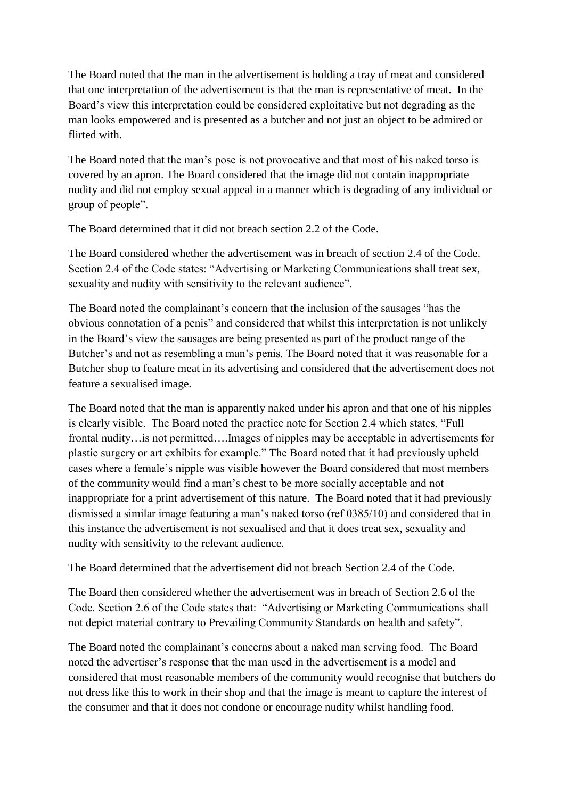The Board noted that the man in the advertisement is holding a tray of meat and considered that one interpretation of the advertisement is that the man is representative of meat. In the Board's view this interpretation could be considered exploitative but not degrading as the man looks empowered and is presented as a butcher and not just an object to be admired or flirted with.

The Board noted that the man's pose is not provocative and that most of his naked torso is covered by an apron. The Board considered that the image did not contain inappropriate nudity and did not employ sexual appeal in a manner which is degrading of any individual or group of people".

The Board determined that it did not breach section 2.2 of the Code.

The Board considered whether the advertisement was in breach of section 2.4 of the Code. Section 2.4 of the Code states: "Advertising or Marketing Communications shall treat sex, sexuality and nudity with sensitivity to the relevant audience".

The Board noted the complainant's concern that the inclusion of the sausages "has the obvious connotation of a penis" and considered that whilst this interpretation is not unlikely in the Board's view the sausages are being presented as part of the product range of the Butcher's and not as resembling a man's penis. The Board noted that it was reasonable for a Butcher shop to feature meat in its advertising and considered that the advertisement does not feature a sexualised image.

The Board noted that the man is apparently naked under his apron and that one of his nipples is clearly visible. The Board noted the practice note for Section 2.4 which states, "Full frontal nudity…is not permitted….Images of nipples may be acceptable in advertisements for plastic surgery or art exhibits for example." The Board noted that it had previously upheld cases where a female's nipple was visible however the Board considered that most members of the community would find a man's chest to be more socially acceptable and not inappropriate for a print advertisement of this nature. The Board noted that it had previously dismissed a similar image featuring a man's naked torso (ref 0385/10) and considered that in this instance the advertisement is not sexualised and that it does treat sex, sexuality and nudity with sensitivity to the relevant audience.

The Board determined that the advertisement did not breach Section 2.4 of the Code.

The Board then considered whether the advertisement was in breach of Section 2.6 of the Code. Section 2.6 of the Code states that: "Advertising or Marketing Communications shall not depict material contrary to Prevailing Community Standards on health and safety".

The Board noted the complainant's concerns about a naked man serving food. The Board noted the advertiser's response that the man used in the advertisement is a model and considered that most reasonable members of the community would recognise that butchers do not dress like this to work in their shop and that the image is meant to capture the interest of the consumer and that it does not condone or encourage nudity whilst handling food.